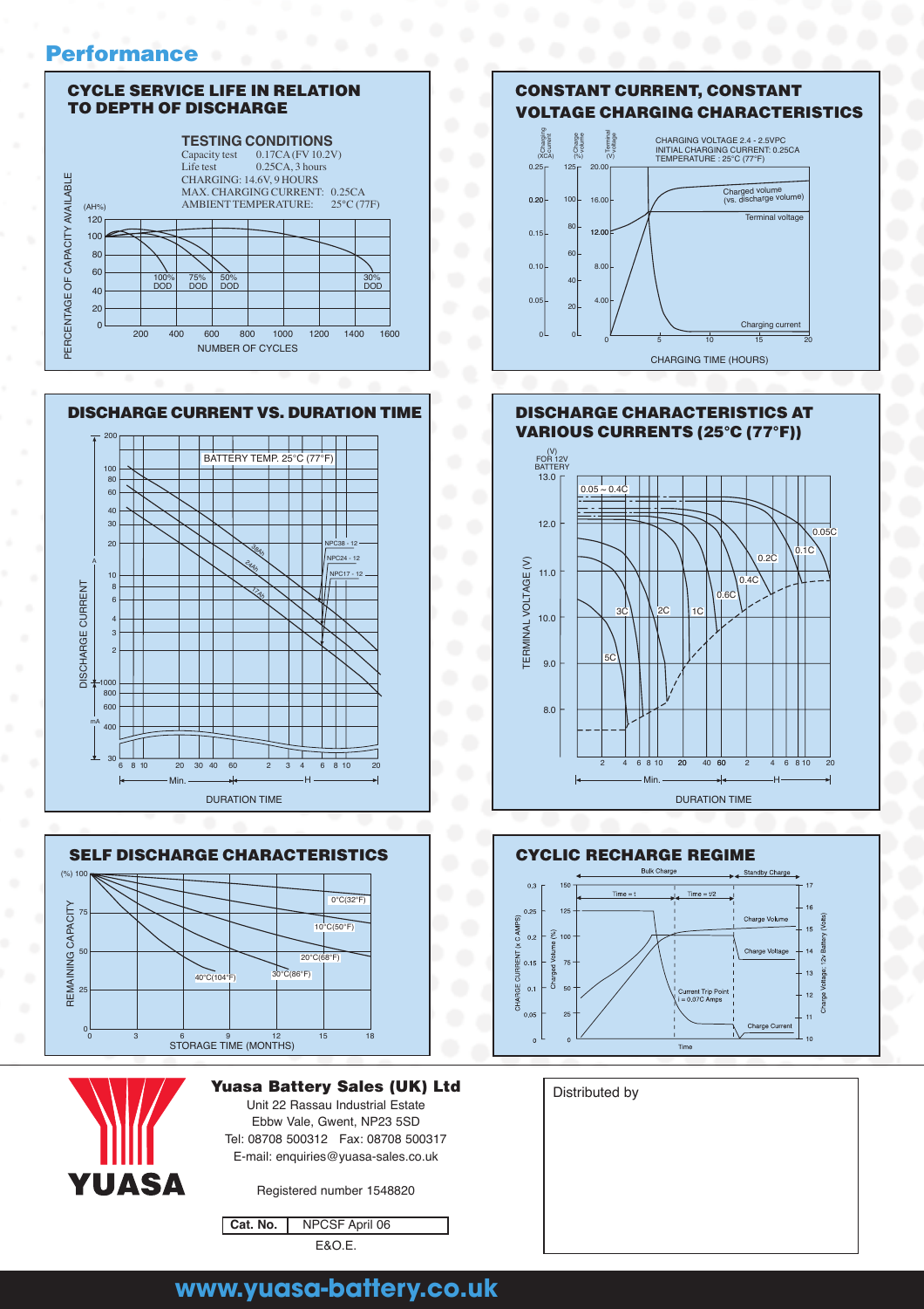#### **Performance**





DURATION TIME



YUASA

**Yuasa Battery Sales (UK) Ltd Distributed by** Unit 22 Rassau Industrial Estate

Ebbw Vale, Gwent, NP23 5SD Tel: 08708 500312 Fax: 08708 500317 E-mail: enquiries@yuasa-sales.co.uk

Registered number 1548820

Cat. No. NPCSF April 06 E&O.E.





#### **CONSTANT CURRENT, CONSTANT VOLTAGE CHARGING CHARACTERISTICS**





# **www.yuasa-battery.co.uk**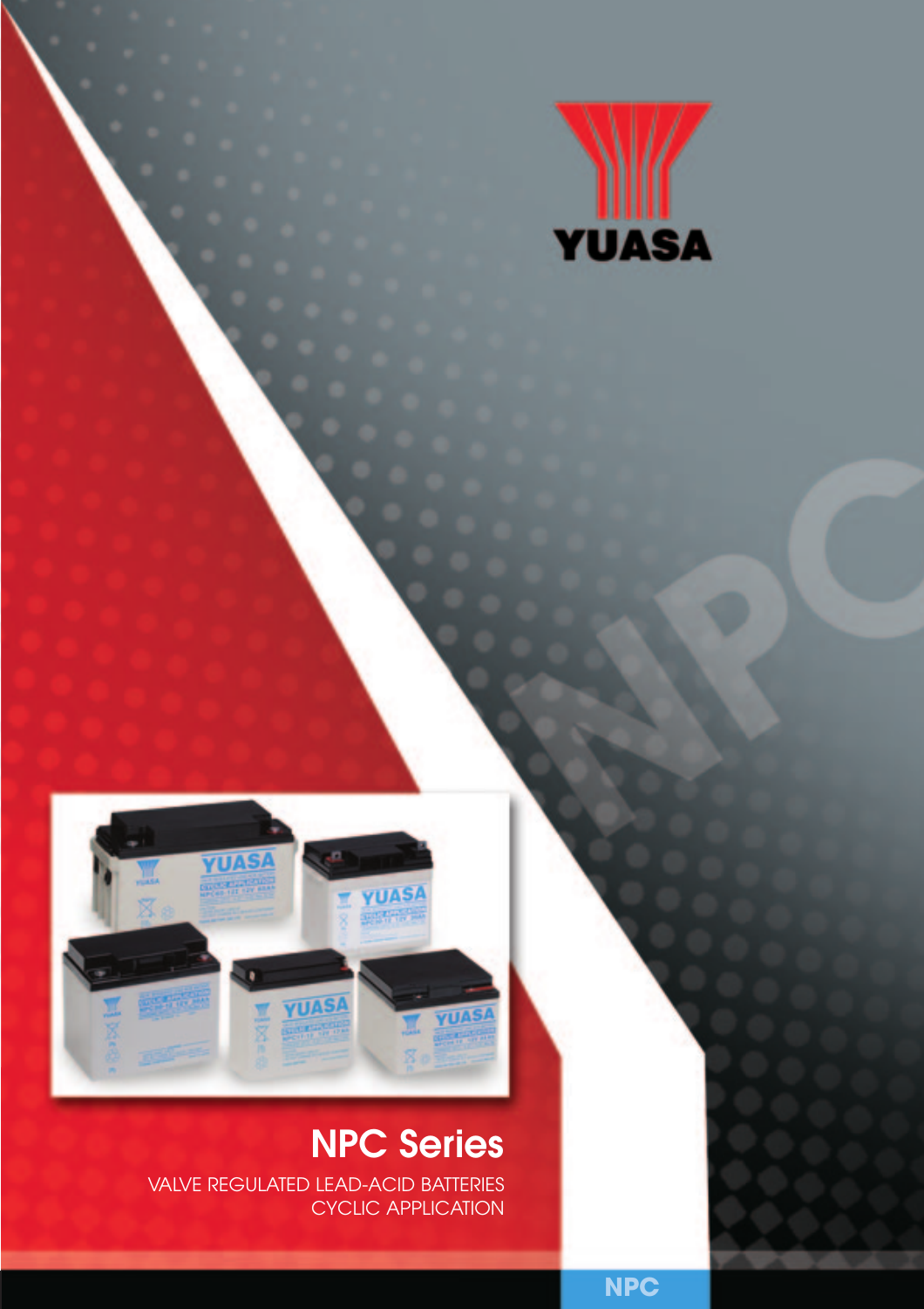



# **NPC Series**

VALVE REGULATED LEAD-ACID BATTERIES CYCLIC APPLICATION

**NPC**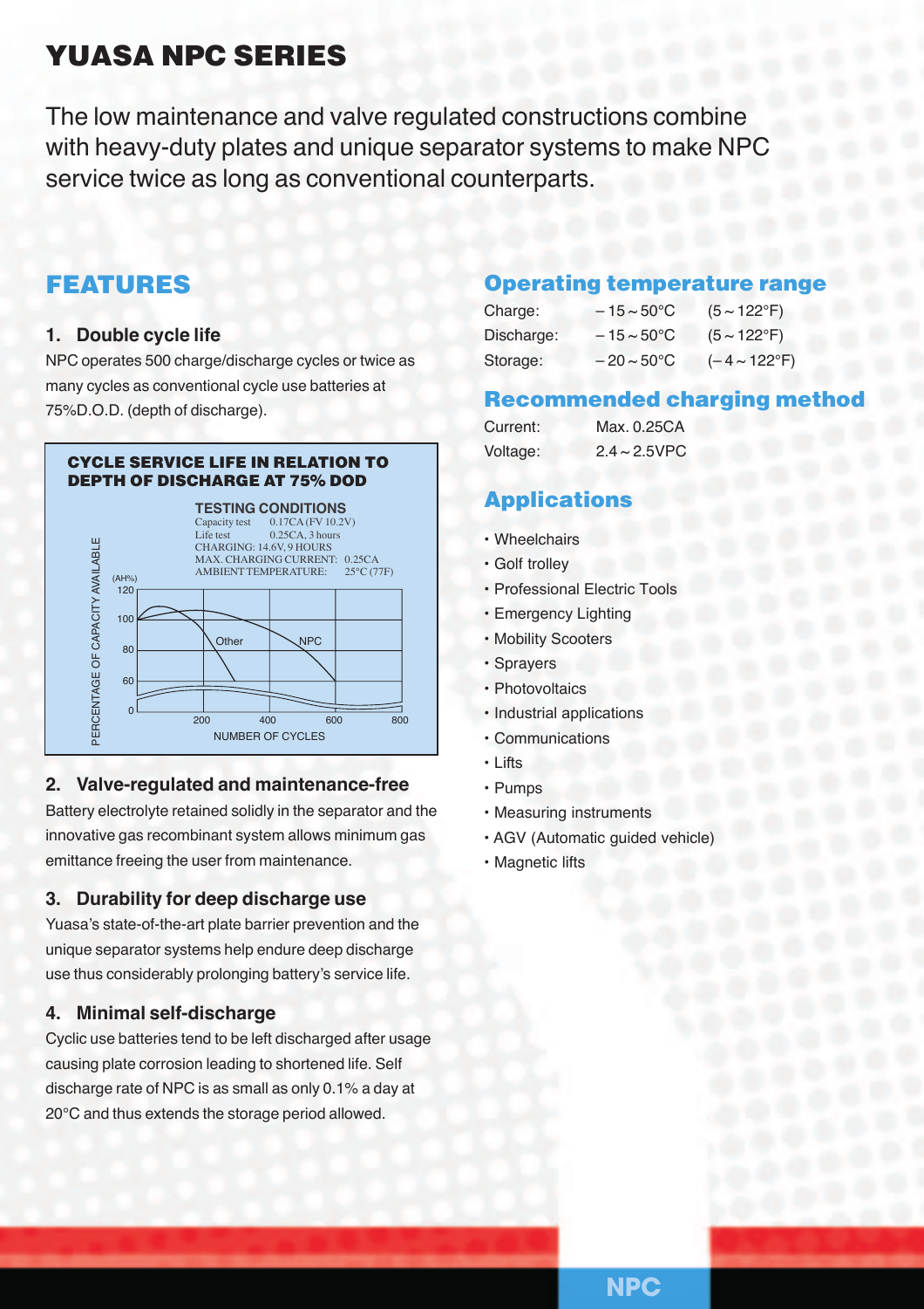# **YUASA NPC SERIES**

The low maintenance and valve regulated constructions combine with heavy-duty plates and unique separator systems to make NPC service twice as long as conventional counterparts.

# **FEATURES**

#### **1. Double cycle life**

NPC operates 500 charge/discharge cycles or twice as many cycles as conventional cycle use batteries at 75%D.O.D. (depth of discharge).



#### **2. Valve-regulated and maintenance-free**

Battery electrolyte retained solidly in the separator and the innovative gas recombinant system allows minimum gas emittance freeing the user from maintenance.

#### **3. Durability for deep discharge use**

Yuasa's state-of-the-art plate barrier prevention and the unique separator systems help endure deep discharge use thus considerably prolonging battery's service life.

#### **4. Minimal self-discharge**

Cyclic use batteries tend to be left discharged after usage causing plate corrosion leading to shortened life. Self discharge rate of NPC is as small as only 0.1% a day at 20°C and thus extends the storage period allowed.

#### **Operating temperature range**

| Charge:    | $-15 \sim 50^{\circ}$ C | $(5 \sim 122$ °F)        |
|------------|-------------------------|--------------------------|
| Discharge: | $-15 \sim 50^{\circ}$ C | $(5 \sim 122^{\circ}F)$  |
| Storage:   | $-20 \sim 50^{\circ}$ C | $(-4 \sim 122^{\circ}F)$ |

#### **Recommended charging meth**

| Current: | Max. 0.25CA        |
|----------|--------------------|
| Voltage: | $2.4 \sim 2.5$ VPC |

## **Applications**

- Wheelchairs
- Golf trolley
- Professional Electric Tools
- Emergency Lighting
- Mobility Scooters
- Sprayers
- Photovoltaics
- Industrial applications
- Communications
- Lifts
- Pumps
- Measuring instruments
- AGV (Automatic guided vehicle)
- Magnetic lifts